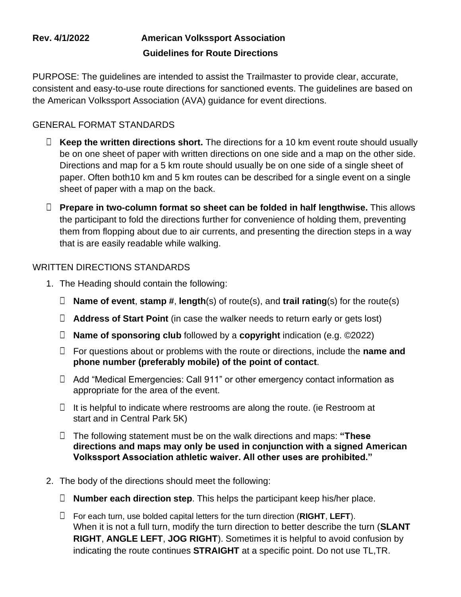## **Rev. 4/1/2022 American Volkssport Association Guidelines for Route Directions**

PURPOSE: The guidelines are intended to assist the Trailmaster to provide clear, accurate, consistent and easy-to-use route directions for sanctioned events. The guidelines are based on the American Volkssport Association (AVA) guidance for event directions.

## GENERAL FORMAT STANDARDS

- □ Keep the written directions short. The directions for a 10 km event route should usually be on one sheet of paper with written directions on one side and a map on the other side. Directions and map for a 5 km route should usually be on one side of a single sheet of paper. Often both10 km and 5 km routes can be described for a single event on a single sheet of paper with a map on the back.
- □ **Prepare in two-column format so sheet can be folded in half lengthwise.** This allows the participant to fold the directions further for convenience of holding them, preventing them from flopping about due to air currents, and presenting the direction steps in a way that is are easily readable while walking.

## WRITTEN DIRECTIONS STANDARDS

- 1. The Heading should contain the following:
	- □ **Name of event**, **stamp #**, **length**(s) of route(s), and **trail rating**(s) for the route(s)
	- □ **Address of Start Point** (in case the walker needs to return early or gets lost)
	- □ **Name of sponsoring club** followed by a **copyright** indication (e.g. ©2022)
	- □ For questions about or problems with the route or directions, include the **name and phone number (preferably mobile) of the point of contact**.
	- □ Add "Medical Emergencies: Call 911" or other emergency contact information as appropriate for the area of the event.
	- $\Box$  It is helpful to indicate where restrooms are along the route. (ie Restroom at start and in Central Park 5K)
	- □ The following statement must be on the walk directions and maps: **"These directions and maps may only be used in conjunction with a signed American Volkssport Association athletic waiver. All other uses are prohibited."**
- 2. The body of the directions should meet the following:
	- □ **Number each direction step**. This helps the participant keep his/her place.
	- □ For each turn, use bolded capital letters for the turn direction (**RIGHT**, **LEFT**). When it is not a full turn, modify the turn direction to better describe the turn (**SLANT RIGHT**, **ANGLE LEFT**, **JOG RIGHT**). Sometimes it is helpful to avoid confusion by indicating the route continues **STRAIGHT** at a specific point. Do not use TL,TR.